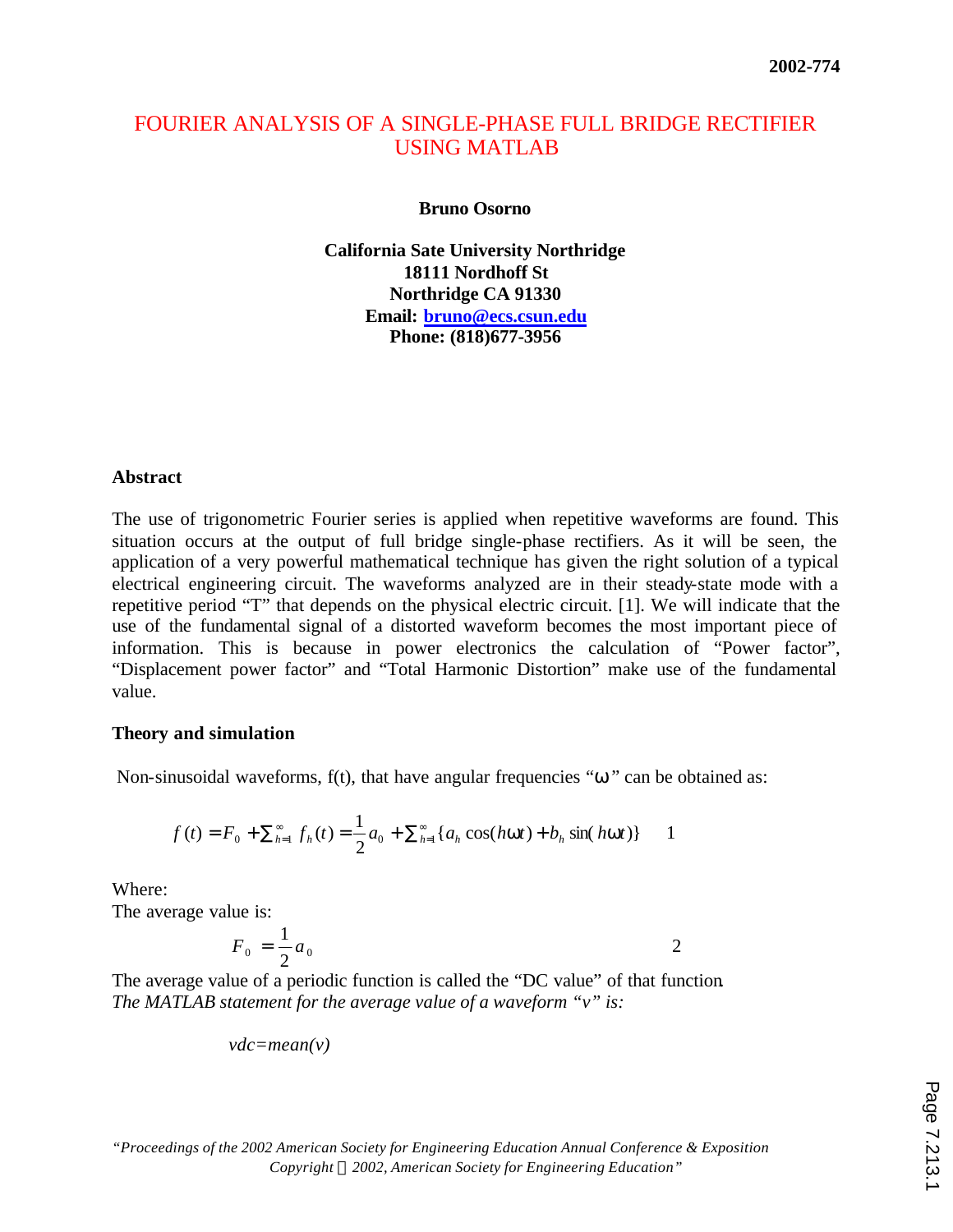# FOURIER ANALYSIS OF A SINGLE-PHASE FULL BRIDGE RECTIFIER USING MATLAB

**Bruno Osorno**

**California Sate University Northridge 18111 Nordhoff St Northridge CA 91330 Email: bruno@ecs.csun.edu Phone: (818)677-3956** 

# **Abstract**

The use of trigonometric Fourier series is applied when repetitive waveforms are found. This situation occurs at the output of full bridge single-phase rectifiers. As it will be seen, the application of a very powerful mathematical technique has given the right solution of a typical electrical engineering circuit. The waveforms analyzed are in their steady-state mode with a repetitive period "T" that depends on the physical electric circuit. [1]. We will indicate that the use of the fundamental signal of a distorted waveform becomes the most important piece of information. This is because in power electronics the calculation of "Power factor", "Displacement power factor" and "Total Harmonic Distortion" make use of the fundamental value.

# **Theory and simulation**

Non-sinusoidal waveforms, f(t), that have angular frequencies "*w*" can be obtained as:

$$
f(t) = F_0 + \sum_{h=1}^{\infty} f_h(t) = \frac{1}{2} a_0 + \sum_{h=1}^{\infty} \{a_h \cos(hwt) + b_h \sin(hwt)\} \qquad 1
$$

Where:

The average value is:

$$
F_0 = \frac{1}{2}a_0
$$

The average value of a periodic function is called the "DC value" of that function*. The MATLAB statement for the average value of a waveform "v" is:*

$$
vdc = mean(v)
$$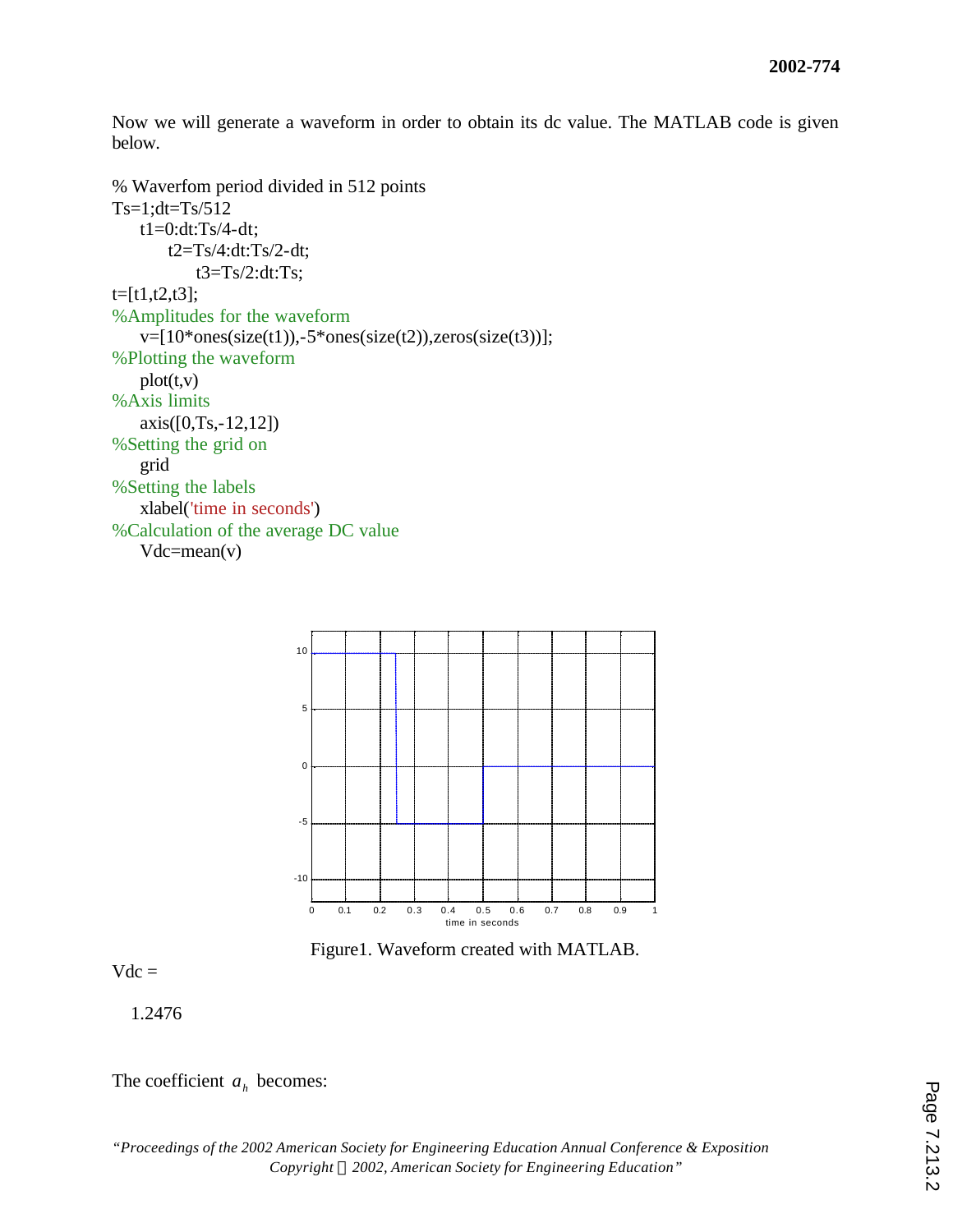Now we will generate a waveform in order to obtain its dc value. The MATLAB code is given below.

```
% Waverfom period divided in 512 points
Ts=1:dt=Ts/512t1=0:dt:Ts/4-dt;
       t2=Ts/4:dt:Ts/2-dt;
           t3=Ts/2:dt:Ts;t=[t1,t2,t3];
%Amplitudes for the waveform
   v=[10*ones(size(t1)),-5*ones(size(t2)),zeros(size(t3))];%Plotting the waveform
   plot(t,v)%Axis limits
   axis([0,Ts,-12,12])
%Setting the grid on
   grid
%Setting the labels
   xlabel('time in seconds')
%Calculation of the average DC value
   Vdc = mean(v)
```


Figure1. Waveform created with MATLAB.

 $Vdc =$ 

1.2476

The coefficient  $a_h$  becomes: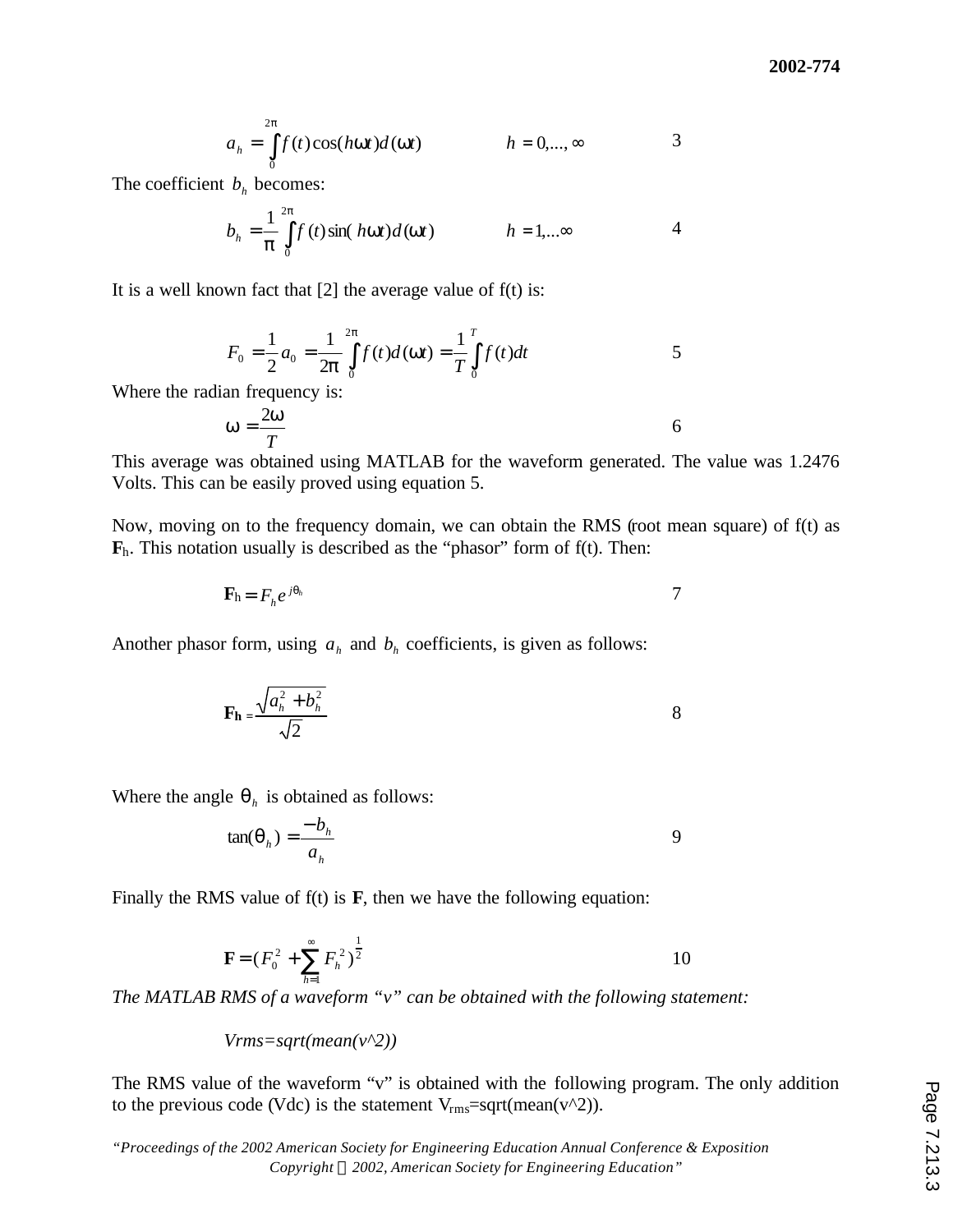$$
a_h = \int_{0}^{2p} f(t) \cos(hwt) d(wt) \qquad \qquad h = 0, ..., \infty
$$

The coefficient  $b_h$  becomes:

$$
b_h = \frac{1}{p} \int_{0}^{2p} f(t) \sin(hwt) d(wt) \qquad h = 1,...^{\infty}
$$

It is a well known fact that  $[2]$  the average value of  $f(t)$  is:

$$
F_0 = \frac{1}{2} a_0 = \frac{1}{2\mathbf{p}} \int_{0}^{2\mathbf{p}} f(t) d(\mathbf{w}t) = \frac{1}{T} \int_{0}^{T} f(t) dt
$$

Where the radian frequency is:

$$
w = \frac{2w}{T}
$$

This average was obtained using MATLAB for the waveform generated. The value was 1.2476 Volts. This can be easily proved using equation 5.

Now, moving on to the frequency domain, we can obtain the RMS (root mean square) of f(t) as  $\mathbf{F}_h$ . This notation usually is described as the "phasor" form of  $f(t)$ . Then:

$$
\mathbf{F}_{h} = F_{h} e^{j\boldsymbol{q}_{h}}
$$

Another phasor form, using  $a_h$  and  $b_h$  coefficients, is given as follows:

$$
\mathbf{F_h} = \frac{\sqrt{a_h^2 + b_h^2}}{\sqrt{2}}
$$

Where the angle  $q_h$  is obtained as follows:

$$
\tan(\boldsymbol{q}_h) = \frac{-b_h}{a_h} \tag{9}
$$

Finally the RMS value of  $f(t)$  is  $\mathbf{F}$ , then we have the following equation:

$$
\mathbf{F} = (F_0^2 + \sum_{h=1}^{\infty} F_h^2)^{\frac{1}{2}}
$$

*The MATLAB RMS of a waveform "v" can be obtained with the following statement:*

*Vrms=sqrt(mean(v^2))*

The RMS value of the waveform "v" is obtained with the following program. The only addition to the previous code (Vdc) is the statement  $V_{\text{rms}} = \sqrt{\text{sqrt}(m\text{ean}(v^2))}$ .

*"Proceedings of the 2002 American Society for Engineering Education Annual Conference & Exposition Copyright ã 2002, American Society for Engineering Education"*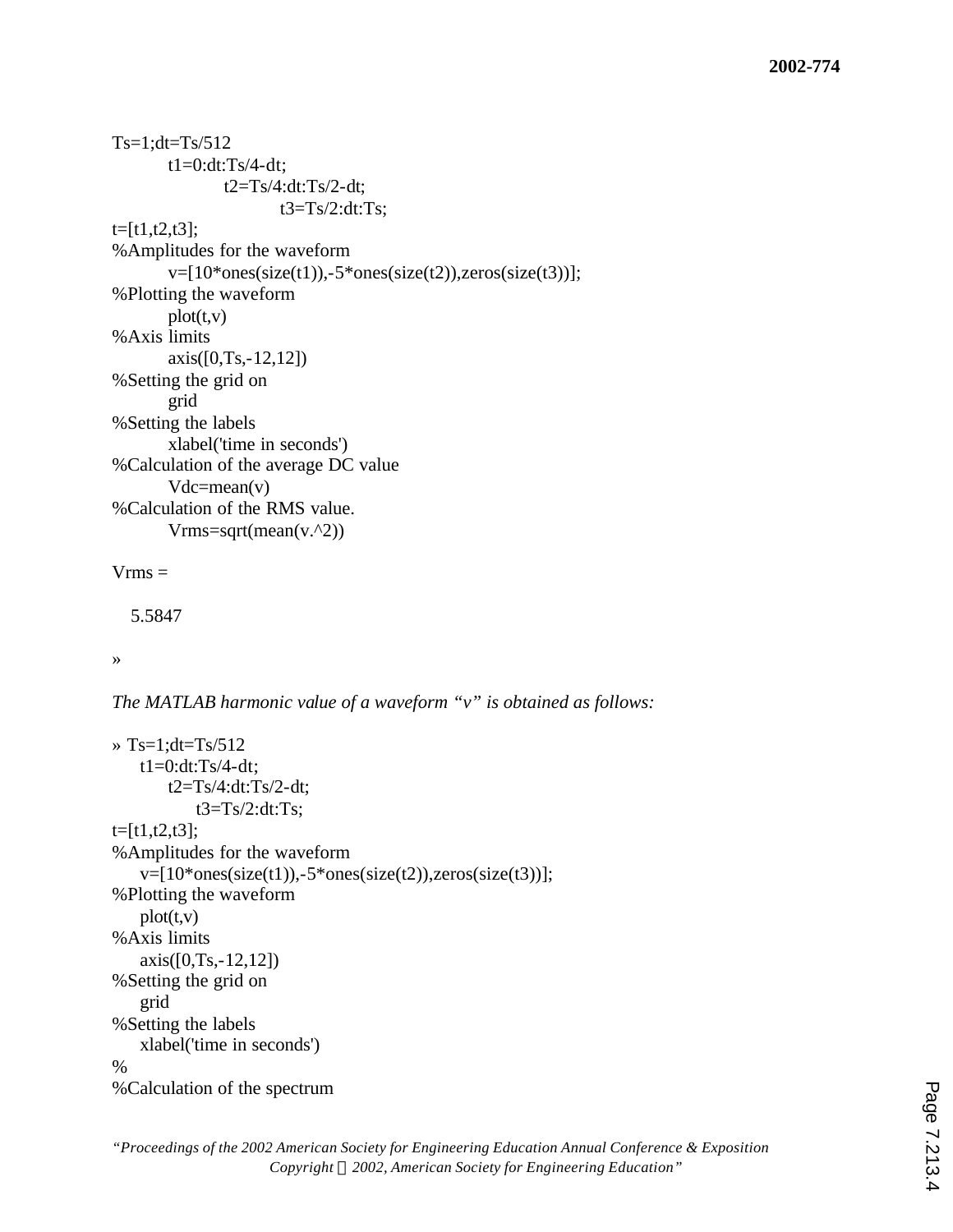```
Ts=1:dt=Ts/512t1=0:dt:Ts/4-dt;
              t2=Ts/4:dt:Ts/2-dt;
                     t3=Ts/2:dt:Ts:
t=[t1,t2,t3];
%Amplitudes for the waveform
       v=[10*ones(size(t1)),-5*ones(size(t2)),zeros(size(t3))];%Plotting the waveform
       plot(t,v)%Axis limits
       axis([0,Ts,-12,12])
%Setting the grid on
       grid
%Setting the labels
       xlabel('time in seconds')
%Calculation of the average DC value
       Vdc=mean(v)
%Calculation of the RMS value.
       Vrms=sqrt(mean(v.^2))Vrms =
```
5.5847

»

*The MATLAB harmonic value of a waveform "v" is obtained as follows:*

```
\rightarrow Ts=1;dt=Ts/512
   t1=0:dt:Ts/4-dt;
       t2=Ts/4:dt:Ts/2-dt;
           t3=Ts/2:dt:Ts;
t=[t1,t2,t3];
%Amplitudes for the waveform
   v=[10*ones(size(t1)),-5*ones(size(t2)),zeros(size(t3))];%Plotting the waveform
   plot(t,v)%Axis limits
   axis([0,Ts,-12,12])
%Setting the grid on
   grid
%Setting the labels
   xlabel('time in seconds')
%
%Calculation of the spectrum
```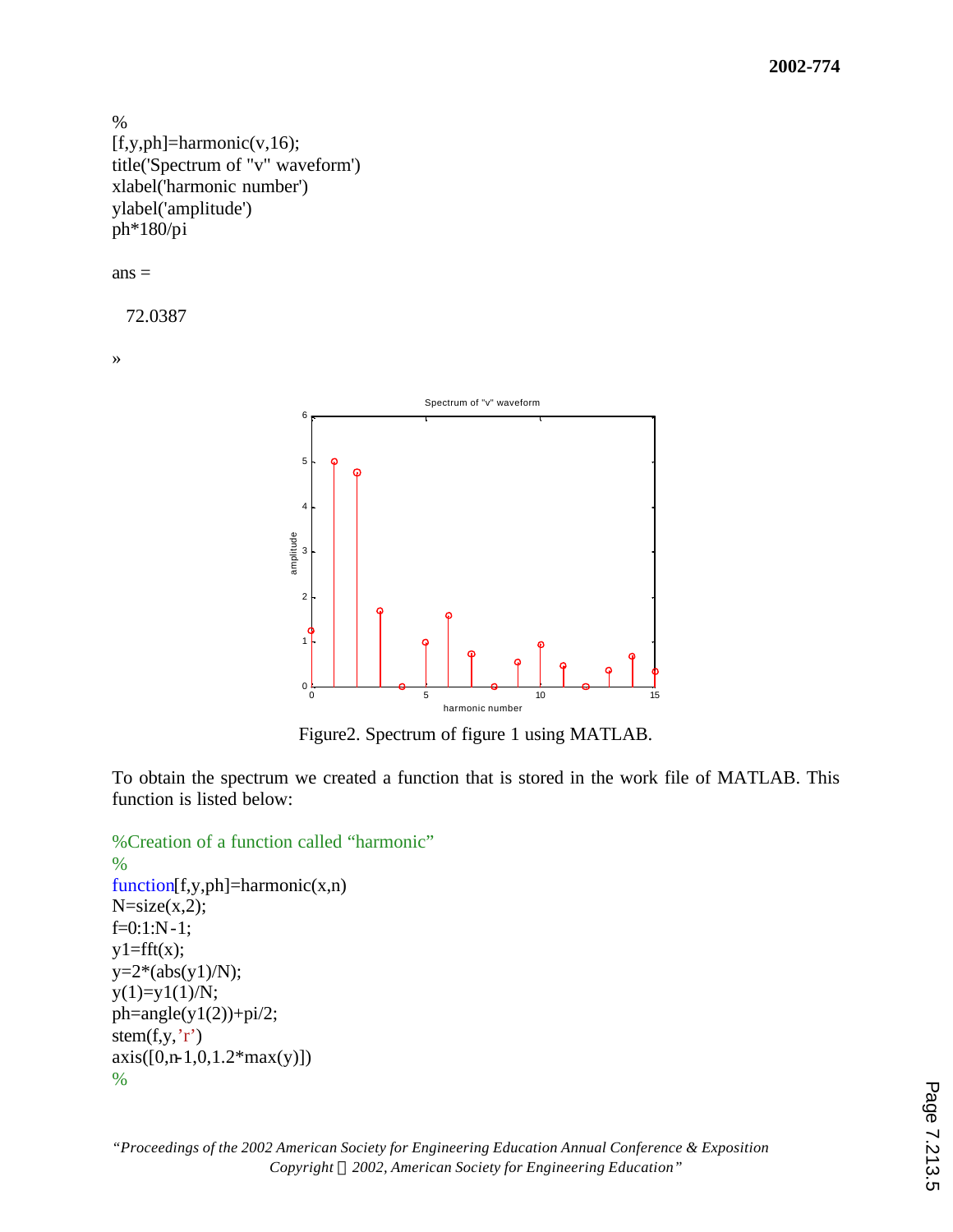```
%
[f, y, ph] = harmonic(v, 16);title('Spectrum of "v" waveform')
xlabel('harmonic number')
ylabel('amplitude')
ph*180/pi
```
 $ans =$ 

72.0387

»



Figure2. Spectrum of figure 1 using MATLAB.

To obtain the spectrum we created a function that is stored in the work file of MATLAB. This function is listed below:

```
%Creation of a function called "harmonic"
%
function[f,y,ph]=harmonic(x,n)
N=size(x,2);f=0:1:N-1;y1 = fft(x);y=2*(abs(y1)/N);y(1)=y1(1)/N;ph = angle(y1(2)) + pi/2;stem(f, y, 'r')axis([0, n-1, 0, 1.2*max(y)])
```

```
%
```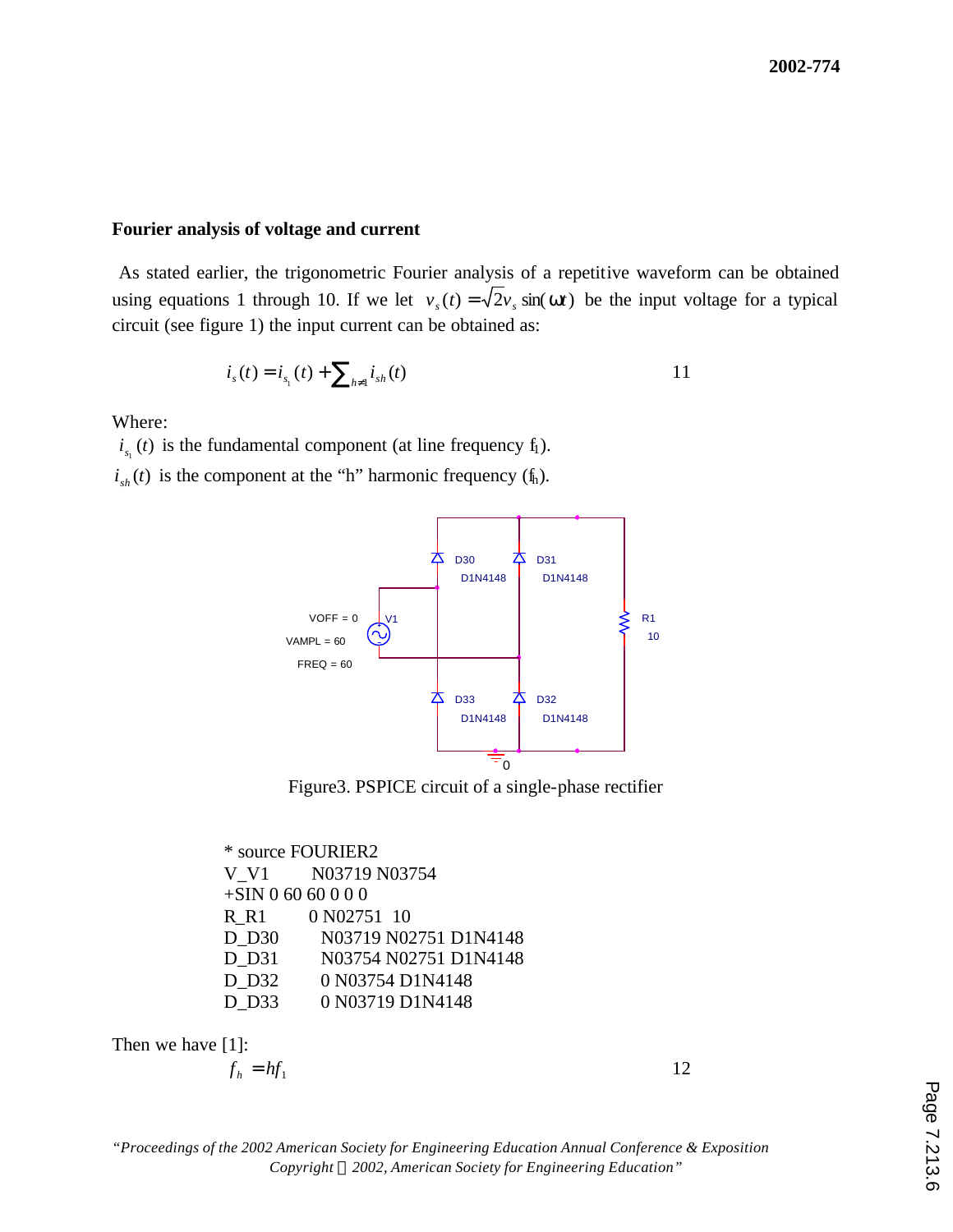#### **Fourier analysis of voltage and current**

 As stated earlier, the trigonometric Fourier analysis of a repetitive waveform can be obtained using equations 1 through 10. If we let  $v<sub>s</sub>(t) = \sqrt{2}v<sub>s</sub> \sin(wt)$  be the input voltage for a typical circuit (see figure 1) the input current can be obtained as:

$$
i_{s}(t) = i_{s_1}(t) + \sum_{h \neq 1} i_{sh}(t) \tag{11}
$$

Where:

 $i_{s_1}(t)$  is the fundamental component (at line frequency  $f_1$ ).

 $i_{sh}(t)$  is the component at the "h" harmonic frequency ( $f_h$ ).



Figure3. PSPICE circuit of a single-phase rectifier

\* source FOURIER2 V V1 N03719 N03754 +SIN 0 60 60 0 0 0 R\_R1 0 N02751 10 D D30 N03719 N02751 D1N4148 D D31 N03754 N02751 D1N4148 D D32 0 N03754 D1N4148 D D33 0 N03719 D1N4148

Then we have [1]:

$$
f_h = hf_1 \tag{12}
$$

*"Proceedings of the 2002 American Society for Engineering Education Annual Conference & Exposition Copyright ã 2002, American Society for Engineering Education"*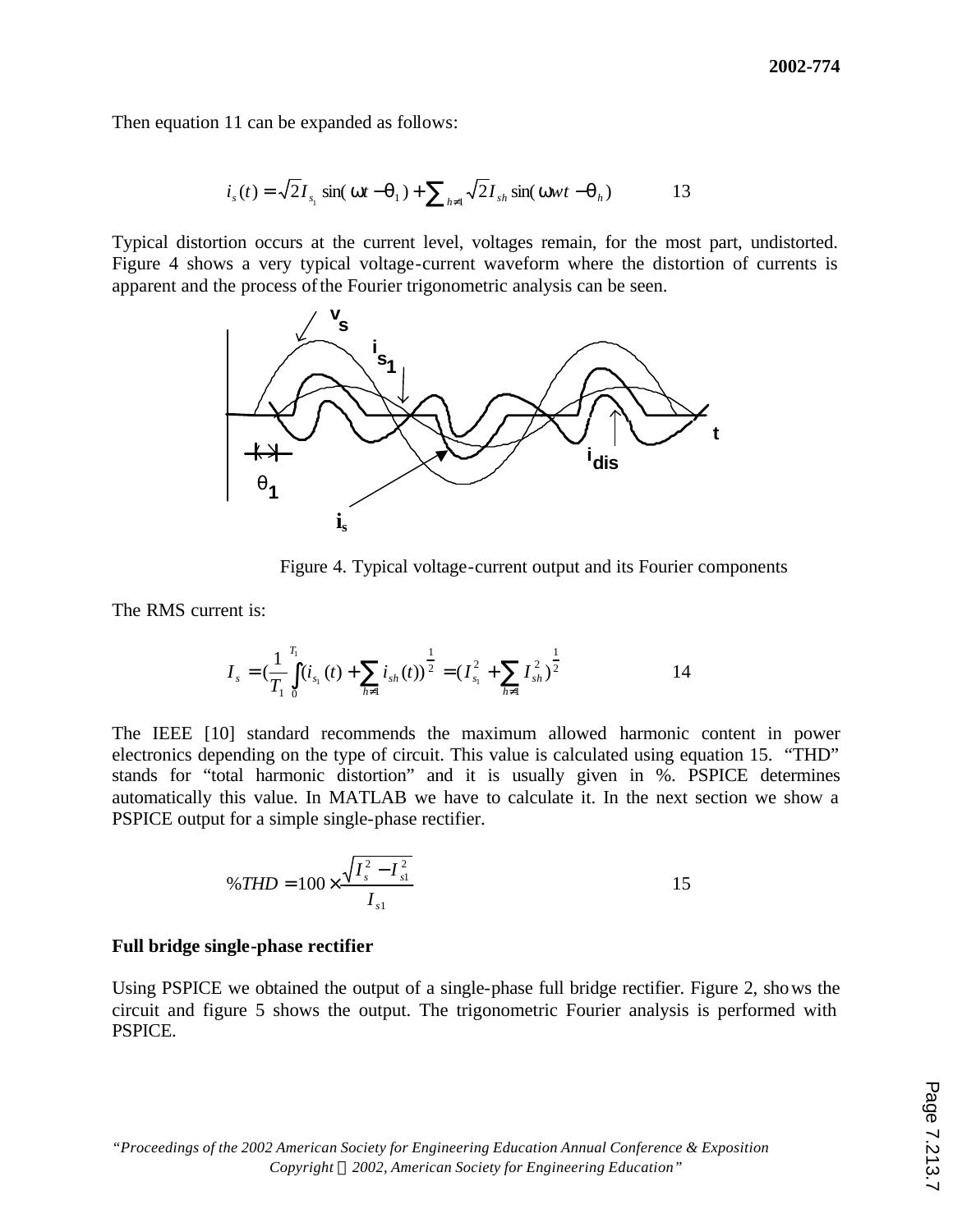Then equation 11 can be expanded as follows:

$$
is(t) = \sqrt{2}Is1 sin(wt - q1) + \sum_{h \neq 1} \sqrt{2}Ish sin(wwt - qh)
$$
 13

Typical distortion occurs at the current level, voltages remain, for the most part, undistorted. Figure 4 shows a very typical voltage-current waveform where the distortion of currents is apparent and the process of the Fourier trigonometric analysis can be seen.



Figure 4. Typical voltage-current output and its Fourier components

The RMS current is:

$$
I_{s} = \left(\frac{1}{T_{1}}\int_{0}^{T_{1}}(i_{s_{1}}(t) + \sum_{h \neq 1} i_{sh}(t))\right)^{\frac{1}{2}} = \left(I_{s_{1}}^{2} + \sum_{h \neq 1} I_{sh}^{2}\right)^{\frac{1}{2}}
$$

The IEEE [10] standard recommends the maximum allowed harmonic content in power electronics depending on the type of circuit. This value is calculated using equation 15. "THD" stands for "total harmonic distortion" and it is usually given in %. PSPICE determines automatically this value. In MATLAB we have to calculate it. In the next section we show a PSPICE output for a simple single-phase rectifier.

$$
\%THD = 100 \times \frac{\sqrt{I_s^2 - I_{s1}^2}}{I_{s1}}
$$

#### **Full bridge single-phase rectifier**

Using PSPICE we obtained the output of a single-phase full bridge rectifier. Figure 2, shows the circuit and figure 5 shows the output. The trigonometric Fourier analysis is performed with PSPICE.

*"Proceedings of the 2002 American Society for Engineering Education Annual Conference & Exposition Copyright ã 2002, American Society for Engineering Education"*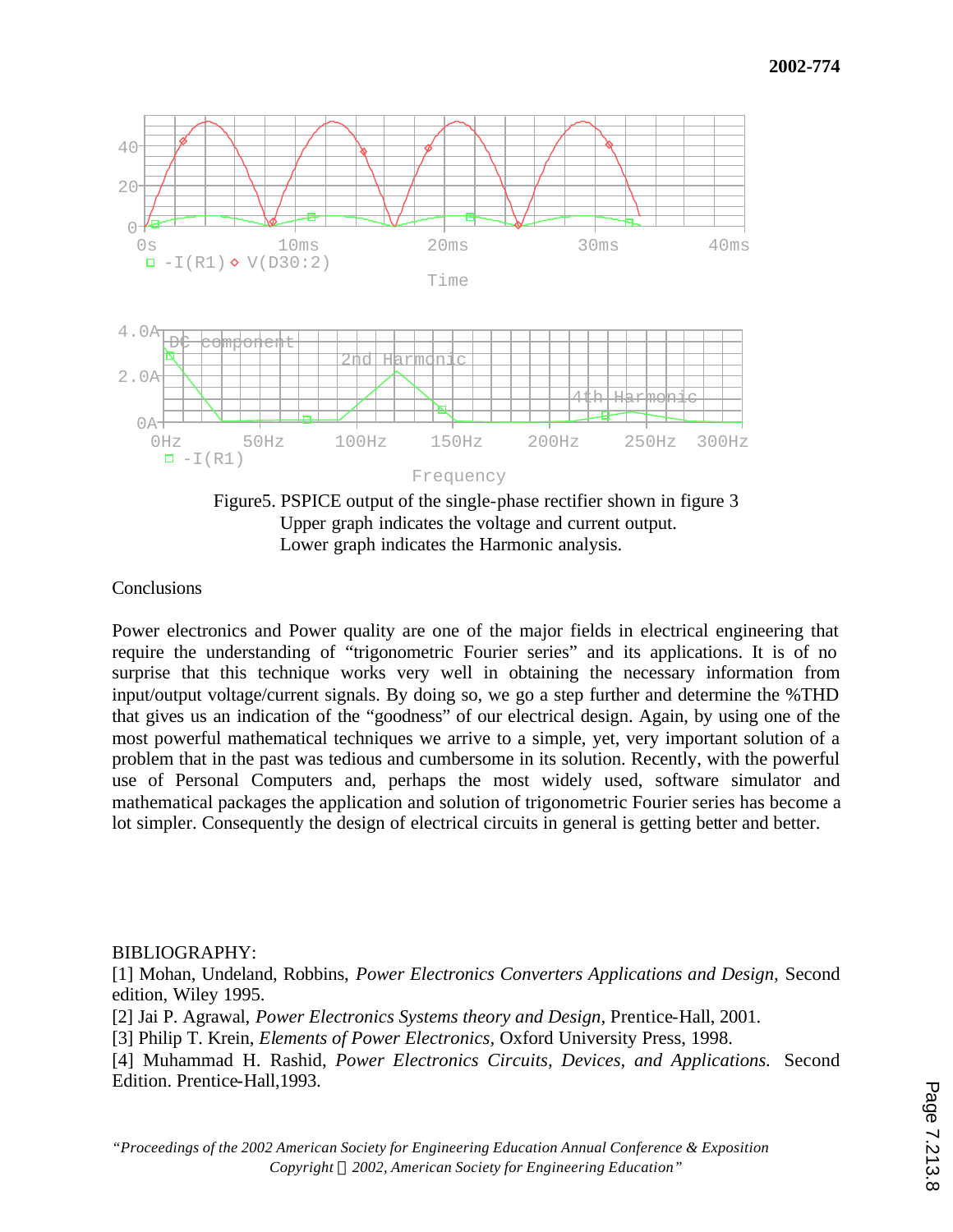

Figure5. PSPICE output of the single-phase rectifier shown in figure 3 Upper graph indicates the voltage and current output. Lower graph indicates the Harmonic analysis.

# **Conclusions**

Power electronics and Power quality are one of the major fields in electrical engineering that require the understanding of "trigonometric Fourier series" and its applications. It is of no surprise that this technique works very well in obtaining the necessary information from input/output voltage/current signals. By doing so, we go a step further and determine the %THD that gives us an indication of the "goodness" of our electrical design. Again, by using one of the most powerful mathematical techniques we arrive to a simple, yet, very important solution of a problem that in the past was tedious and cumbersome in its solution. Recently, with the powerful use of Personal Computers and, perhaps the most widely used, software simulator and mathematical packages the application and solution of trigonometric Fourier series has become a lot simpler. Consequently the design of electrical circuits in general is getting better and better.

# BIBLIOGRAPHY:

[1] Mohan, Undeland, Robbins, *Power Electronics Converters Applications and Design,* Second edition, Wiley 1995.

[2] Jai P. Agrawal, *Power Electronics Systems theory and Design,* Prentice-Hall, 2001.

[3] Philip T. Krein, *Elements of Power Electronics,* Oxford University Press, 1998.

[4] Muhammad H. Rashid, *Power Electronics Circuits, Devices, and Applications.* Second Edition. Prentice-Hall,1993.